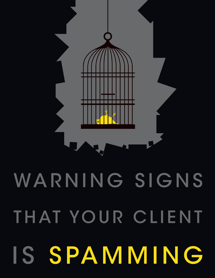# WARNING SIGNS THAT YOUR CLIENT IS SPAMMING

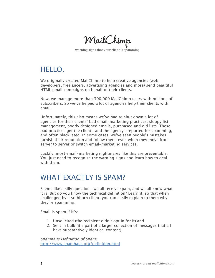MailChimp

warning signs that your client is spamming

# HELLO.

We originally created MailChimp to help creative agencies (web developers, freelancers, advertising agencies and more) send beautiful HTML email campaigns on behalf of their clients.

Now, we manage more than 300,000 MailChimp users with millions of subscribers. So we've helped a lot of agencies help their clients with email.

Unfortunately, this also means we've had to shut down a lot of agencies for their clients' bad email-marketing practices: sloppy list management, poorly designed emails, purchased and old lists. These bad practices get the client—and the agency—reported for spamming, and often blacklisted. In some cases, we've seen people's mistakes tarnish their reputation and follow them, even when they move from server to server or switch email-marketing services.

Luckily, most email-marketing nightmares like this are preventable. You just need to recognize the warning signs and learn how to deal with them.

## WHAT EXACTLY IS SPAM?

Seems like a silly question—we all receive spam, and we all know what it is. But do you know the technical definition? Learn it, so that when challenged by a stubborn client, you can easily explain to them why they're spamming.

Email is spam if it's:

- 1. Unsolicited (the recipient didn't opt in for it) and
- 2. Sent in bulk (it's part of a larger collection of messages that all have substantively identical content).

Spamhaus Definition of Spam: http://www.spamhaus.org/definition.html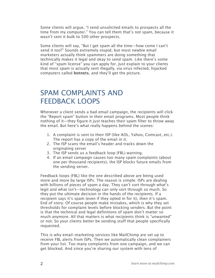Some clients will argue, "I send unsolicited emails to prospects all the time from my computer." You can tell them that's not spam, because it wasn't sent it bulk to 500 other prospects.

Some clients will say, "But I get spam all the time—how come I can't send it too?" Sounds extremely stupid, but most newbie email marketers actually think spammers are doing something that technically makes it legal and okay to send spam. Like there's some kind of "spam license" you can apply for. Just explain to your clients that most spam is actually sent illegally, via virus infected, hijacked computers called **botnets**, and they'll get the picture.

## SPAM COMPLAINTS AND FEEDBACK LOOPS

Whenever a client sends a bad email campaign, the recipients will click the "Report spam" button in their email programs. Most people think nothing of it—they figure it just teaches their spam filter to throw away the email. But here's what really happens behind the scenes:

- 1. A complaint is sent to their ISP (like AOL, Yahoo, Comcast, etc.). The report has a copy of the email in it.
- 2. The ISP scans the email's header and tracks down the originating server
- 3. The ISP sends us a feedback loop (FBL) warning.
- 4. If an email campaign causes too many spam complaints (about one per thousand recipients), the ISP blocks future emails from the sending server.

Feedback loops (FBL) like the one described above are being used more and more by large ISPs. The reason is simple: ISPs are dealing with billions of pieces of spam a day. They can't sort through what's legit and what isn't—technology can only sort through so much. So they put the ultimate decision in the hands of the recipients. If a recipient says it's spam (even if they opted in for it), then it's spam. End of story. Of course people make mistakes, which is why they set thresholds for complaint levels before blocking senders. But the point is that the technical and legal definitions of spam don't matter so much anymore. All that matters is what recipients think is "unwanted" or not. So your clients better be sending stuff that people specifically requested.

This is why email-marketing services like MailChimp are set up to receive FBL alerts from ISPs. Then we automatically clean complainers from your list. Too many complaints from one campaign, and we can get blocked. And since you're sharing our system with tens of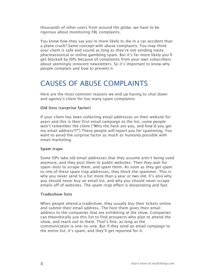thousands of other users from around the globe, we have to be rigorous about monitoring FBL complaints.

You know how they say you're more likely to die in a car accident than a plane crash? Same concept with abuse complaints. You may think your client is safe and sound as long as they're not sending nasty pharmaceutical or online gambling spam. But it's far more likely you'll get blocked by ISPs because of complaints from your own subscribers about seemingly innocent newsletters. So it's important to know why people complain and how to prevent it.

# CAUSES OF ABUSE COMPLAINTS

Here are the most common reasons we end up having to shut down and agency's client for too many spam complaints:

#### **Old lists (surprise factor)**

If your client has been collecting email addresses on their website for years and this is their first email campaign to the list, some people won't remember the client ("Who the heck are you, and how'd you get my email address?!?") These people will report you for spamming. You want to avoid the surprise factor as much as humanly possible with email marketing.

#### **Spam traps**

Some ISPs take old email addresses that they assume aren't being used anymore, and they post them to public websites. Then they wait for spam-bots to scrape them, and spam them. As soon as they get spam to one of these spam trap addresses, they block the spammer. This is why you never send to a list more than a year or two old. It's also why you should never buy an email list, and why you should never scrape emails off of websites. The spam-trap effect is devastating and fast.

#### **Tradeshow lists**

When people attend a tradeshow, they usually buy their tickets online and submit their email address. The host them gives their email address to the companies that are exhibiting at the show. Companies can theoretically use this list to find prospects who plan to attend the show, and reach out to them. That's fine, as long as the communication is one-to-one. But if they send an email campaign to the entire list, it's spam, and they'll get reported for it.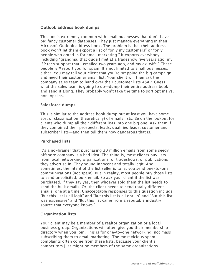#### **Outlook address book dumps**

This one's extremely common with small businesses that don't have big fancy customer databases. They just manage everything in their Microsoft Outlook address book. The problem is that their address book won't let them export a list of "only my customers" or "only people who opted in for email marketing." It exports everybody, including "grandma, that dude I met at a tradeshow five years ago, my ISP tech support that I emailed two years ago, and my ex-wife." These people will report you for spam. It's not limited to small businesses, either. You may tell your client that you're prepping the big campaign and need their customer email list. Your client will then ask the company sales team to hand over their customer lists ASAP. Guess what the sales team is going to do—dump their entire address book and send it along. They probably won't take the time to sort opt ins vs. non-opt ins.

#### **Salesforce dumps**

This is similar to the address book dump but at least you have some sort of classification (theoretically) of emails lists. Be on the lookout for clients who dump all their different lists into one big one. Ask them if they combined their prospects, leads, qualified leads, customer and subscriber lists—and then tell them how dangerous that is.

#### **Purchased lists**

It's a no-brainer that purchasing 30 million emails from some seedy offshore company is a bad idea. The thing is, most clients buy lists from local networking organizations, or tradeshows, or publications they advertise in. They sound innocent and totally legit. And sometimes, the intent of the list seller is to let you send one-to-one communications (not spam). But in reality, most people buy those lists to send unsolicited, bulk email. So ask your client if the list was purchased. If they say yes, then whoever sold them the list needs to send the bulk emails. Or, the client needs to send totally different emails, one at a time. Unacceptable responses to this question include "But this list is all legit" and "But this list is all opt-in" and "But this list was expensive" and "But this list came from a reputable industry source that everyone knows."

#### **Organization lists**

Your client may be a member of a realtor organization or a local business group. Organizations will often give you their membership directory when you join. This is for one-to-one networking, not mass subscribing them to email marketing. The most vicious spam complaints often come from these lists, because your client's competitors just might be members of the same organizations.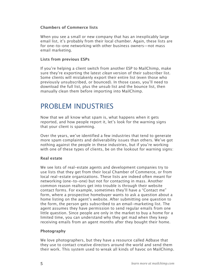#### **Chambers of Commerce lists**

When you see a small or new company that has an inexplicably large email list, it's probably from their local chamber. Again, these lists are for one-to-one networking with other business owners—not mass email marketing.

#### **Lists from previous ESPs**

If you're helping a client switch from another ESP to MailChimp, make sure they're exporting the latest *clean* version of their subscriber list. Some clients will mistakenly export their entire list (even those who previously unsubscribed, or bounced). In those cases, you'll need to download the full list, plus the unsub list and the bounce list, then manually clean them before importing into MailChimp.

## PROBLEM INDUSTRIES

Now that we all know what spam is, what happens when it gets reported, and how people report it, let's look for the warning signs that your client is spamming.

Over the years, we've identified a few industries that tend to generate more spam complaints and deliverability issues than others. We've got nothing against the people in these industries, but if you're working with one of these types of clients, be on the lookout for warning signs:

#### **Real estate**

We see lots of real-estate agents and development companies try to use lists that they get from their local Chamber of Commerce, or from local real-estate organizations. These lists are indeed often meant for networking (one-to-one) but not for contacting in mass. Another common reason realtors get into trouble is through their website contact forms. For example, sometimes they'll have a "Contact me" form, where a prospective homebuyer wants to ask a question about a home listing on the agent's website. After submitting one question to the form, the person gets subscribed to an email-marketing list. The agent assumes they have permission to send regular emails from one little question. Since people are only in the market to buy a home for a limited time, you can understand why they get mad when they keep receiving emails from an agent months after they bought their home.

#### **Photography**

We love photographers, but they have a resource called Adbase that they use to contact creative directors around the world and send them their work. This system used to wreak all kinds of havoc on MailChimp.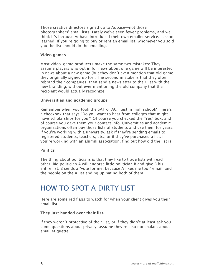Those creative directors signed up to Adbase—not those photographers' email lists. Lately we've seen fewer problems, and we think it's because Adbase introduced their own emailer service. Lesson learned: If you're going to buy or rent an email list, whomever you sold you the list should do the emailing.

#### **Video games**

Most video-game producers make the same two mistakes: They assume players who opt in for news about one game will be interested in news about a new game (but they don't even mention that old game they originally signed up for). The second mistake is that they often rebrand their companies, then send a newsletter to their list with the new branding, without ever mentioning the old company that the recipient would actually recognize.

#### **Universities and academic groups**

Remember when you took the SAT or ACT test in high school? There's a checkbox that says "Do you want to hear from colleges that might have scholarships for you?" Of course you checked the "Yes" box, and of course you gave them your contact info. Universities and academic organizations often buy those lists of students and use them for years. If you're working with a university, ask if they're sending emails to registered students, teachers, etc., or if they've purchased a list. If you're working with an alumni association, find out how old the list is.

#### **Politics**

The thing about politicians is that they like to trade lists with each other. Big politician A will endorse little politician B and give B his entire list. B sends a "vote for me, because A likes me too!" email, and the people on the A list ending up hating both of them.

## HOW TO SPOT A DIRTY LIST

Here are some red flags to watch for when your client gives you their email list:

#### **They just handed over their list.**

If they weren't protective of their list, or if they didn't at least ask you some questions about privacy, assume they're also nonchalant about email etiquette.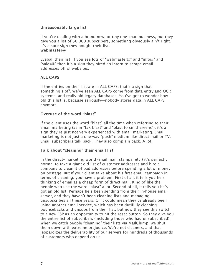#### **Unreasonably large list**

If you're dealing with a brand new, or tiny one-man business, but they give you a list of 50,000 subscribers, something obviously ain't right. It's a sure sign they bought their list. **webmaster@** 

Eyeball their list. If you see lots of "webmaster@" and "info@" and "sales@" then it's a sign they hired an intern to scrape email addresses off of websites.

#### **ALL CAPS**

If the entries on their list are in ALL CAPS, that's a sign that something's off. We've seen ALL CAPS come from data entry and OCR systems, and really old legacy databases. You've got to wonder how old this list is, because seriously—nobody stores data in ALL CAPS anymore.

#### **Overuse of the word "blast"**

If the client uses the word "blast" all the time when referring to their email marketing (as in "fax blast" and "blast to smithereens"), it's a sign they're just not very experienced with email marketing. Email marketing is not just a one‐way "push" medium like direct mail or TV. Email subscribers talk back. They also complain back. A lot.

#### **Talk about "cleaning" their email list**

In the direct-marketing world (snail mail, stamps, etc.) it's perfectly normal to take a giant old list of customer addresses and hire a company to clean it of bad addresses before spending a lot of money on postage. But if your client talks about his first email campaign in terms of cleaning, you have a problem. First of all, it tells you he's thinking of email as a cheap form of direct mail. Kind of like the people who use the word "blast" a lot. Second of all, it tells you he's got an old list. Perhaps he's been sending from their in‐house email server, and they haven't been cleaning lists and managing unsubscribes all these years. Or it could mean they've already been using another email service, which has been dutifully cleaning bouncebacks and unsubs from their list, but now they see this switch to a new ESP as an opportunity to hit the reset button. So they give you the entire list of subscribers (including those who had unsubscribed). When we catch people "cleaning" their lists via MailChimp, we shut them down with extreme prejudice. We're not cleaners, and that jeopardizes the deliverability of our servers for hundreds of thousands of customers who depend on us.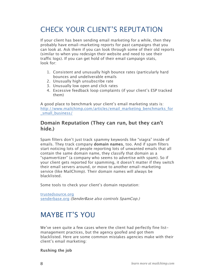# CHECK YOUR CLIENT'S REPUTATION

If your client has been sending email marketing for a while, then they probably have email-marketing reports for past campaigns that you can look at. Ask them if you can look through some of their old reports (similar to when you redesign their website and need to see their traffic logs). If you can get hold of their email campaign stats, look for:

- 1. Consistent and unusually high bounce rates (particularly hard bounces and undeliverable emails
- 2. Unusually high unsubscribe rate
- 3. Unusually low open and click rates
- 4. Excessive feedback loop complaints (if your client's ESP tracked them)

A good place to benchmark your client's email marketing stats is: http://www.mailchimp.com/articles/email\_marketing\_benchmarks\_for \_small\_business/

#### **Domain Reputation (They can run, but they can't hide.)**

Spam filters don't just track spammy keywords like "viagra" inside of emails. They track company **domain names**, too. And if spam filters start noticing lots of people reporting lots of unwanted emails that all contain the same domain name, they classify that domain as a "spamvertizer" (a company who seems to advertise with spam). So if your client gets reported for spamming, it doesn't matter if they switch their email servers around, or move to another email-marketing service (like MailChimp). Their domain names will always be blacklisted.

Some tools to check your client's domain reputation:

trustedsource.org senderbase.org (SenderBase also controls SpamCop.)

# MAYBE IT'S YOU

We've seen quite a few cases where the client had perfectly fine listmanagement practices, but the agency goofed and got them blacklisted. Here are some common mistakes agencies make with their client's email marketing:

**Rushing the job**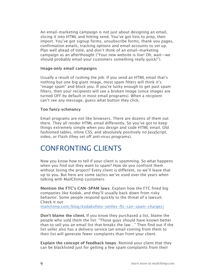An email-marketing campaign is not just about designing an email, slicing it into HTML and hitting send. You've got lists to prep, then import. You've got signup forms, unsubscribe forms, thank you pages, confirmation emails, tracking options and email accounts to set up. Plan well ahead of time, and don't think of an email-marketing campaign as an afterthought ("Your new website is live! Oh, wait—we should probably email your customers something really quick!").

#### **Image‐only email campaigns**

Usually a result of rushing the job. If you send an HTML email that's nothing but one big giant image, most spam filters will think it's "image spam" and block you. If you're lucky enough to get past spam filters, then your recipients will see a broken image (since images are turned OFF by default in most email programs). When a recipient can't see any message, guess what button they click.

#### **Too fancy‐schmancy**

Email programs are not like browsers. There are dozens of them out there. They all render HTML email differently. So you've got to keep things extremely simple when you design and code HTML email. Old fashioned tables, inline CSS, and absolutely positively no JavaScript, video, or Flash (they set off anti‐virus programs).

### CONFRONTING CLIENTS

Now you know how to tell if your client is spamming. So what happens when you find out they want to spam? How do you confront them without losing the project? Every client is different, so we'll leave that up to you. But here are some tactics we've used over the years when talking with MailChimp customers:

**Mention the FTC's CAN-SPAM laws**. Explain how the FTC fined big companies like Kodak, and they'll usually back down from risky behavior. Some people respond quickly to the threat of a lawsuit. Check it out:

mailchimp.com/blog/kodakofoto-settles-ftc-can-spam-charges/

**Don't blame the client.** If you know they purchased a list, blame the people who sold them the list: "Those guys should have known better than to sell you an email list that breaks the law…" Then find out if the list seller also has a delivery service (an email coming from them to their list will generate fewer complaints than from your client.

**Explain the concept of feedback loops**. Remind your client that they can be blacklisted just for getting a few spam complaints from their